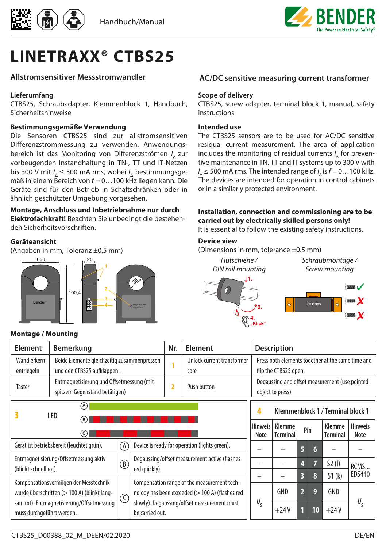



# **LINETRAXX® CTBS25**

#### **Allstromsensitiver Messstromwandler**

#### **Lieferumfang**

CTBS25, Schraubadapter, Klemmenblock 1, Handbuch, Sicherheitshinweise

#### **Bestimmungsgemäße Verwendung**

Die Sensoren CTBS25 sind zur allstromsensitiven Differenzstrommessung zu verwenden. Anwendungsbereich ist das Monitoring von Differenzströmen *I* <sup>Δ</sup>zur vorbeugenden Instandhaltung in TN-, TT und IT-Netzen bis 300 V mit *I* <sup>Δ</sup>≤ 500 mA rms, wobei *I* Δ bestimmungsgemäß in einem Bereich von *f* = 0…100 kHz liegen kann. Die Geräte sind für den Betrieb in Schaltschränken oder in ähnlich geschützter Umgebung vorgesehen.

#### **Montage, Anschluss und Inbetriebnahme nur durch Elektrofachkraft!** Beachten Sie unbedingt die bestehen-

den Sicherheitsvorschriften.

#### **Geräteansicht**

(Angaben in mm, Toleranz ±0,5 mm)



#### **Montage / Mounting**

#### **AC/DC sensitive measuring current transformer**

#### **Scope of delivery**

CTBS25, screw adapter, terminal block 1, manual, safety instructions

#### **Intended use**

The CTBS25 sensors are to be used for AC/DC sensitive residual current measurement. The area of application includes the monitoring of residual currents *I* Δ for preventive maintenance in TN, TT and IT systems up to 300 V with  $I_{\Delta} \leq 500$  mA rms. The intended range of  $I_{\Delta}$  is  $f = 0...100$  kHz. The devices are intended for operation in control cabinets or in a similarly protected environment.

### **Installation, connection and commissioning are to be carried out by electrically skilled persons only!**

It is essential to follow the existing safety instructions.

#### **Device view**

(Dimensions in mm, tolerance ±0.5 mm)



*Schraubmontage / Screw mounting*



| <b>Element</b>                                                                                  | Bemerkung                                                                 |   |                                                                | Nr.         | Element                                       |                                                                    |                                                                            | <b>Description</b>        |          |                 |                           |                        |
|-------------------------------------------------------------------------------------------------|---------------------------------------------------------------------------|---|----------------------------------------------------------------|-------------|-----------------------------------------------|--------------------------------------------------------------------|----------------------------------------------------------------------------|---------------------------|----------|-----------------|---------------------------|------------------------|
| Wandlerkern<br>entriegeln                                                                       | Beide Elemente gleichzeitig zusammenpressen<br>und den CTBS25 aufklappen. |   |                                                                |             | Unlock current transformer<br>core            |                                                                    | Press both elements together at the same time and<br>flip the CTBS25 open. |                           |          |                 |                           |                        |
| Taster                                                                                          | Entmagnetisierung und Offsetmessung (mit<br>spitzem Gegenstand betätigen) |   | 2                                                              | Push button |                                               | Degaussing and offset measurement (use pointed<br>object to press) |                                                                            |                           |          |                 |                           |                        |
|                                                                                                 | (A)<br>LED<br>(в)                                                         |   |                                                                |             | Klemmenblock 1 / Terminal block 1             |                                                                    |                                                                            |                           |          |                 |                           |                        |
|                                                                                                 | (c)                                                                       |   |                                                                |             |                                               |                                                                    | <b>Hinweis</b><br>Note                                                     | Klemme<br><b>Terminal</b> | Pin      |                 | Klemme<br><b>Terminal</b> | <b>Hinweis</b><br>Note |
|                                                                                                 | Gerät ist betriebsbereit (leuchtet grün).                                 | Ά |                                                                |             | Device is ready for operation (lights green). |                                                                    |                                                                            |                           | 6        | $6\phantom{.}6$ |                           |                        |
| Entmagnetisierung/Offsetmessung aktiv<br>$^\circledR$<br>(blinkt schnell rot).<br>red quickly). |                                                                           |   | Degaussing/offset measurement active (flashes                  |             |                                               |                                                                    | 4                                                                          | 7                         | $52$ (l) | RCMS            |                           |                        |
| Kompensationsvermögen der Messtechnik                                                           |                                                                           |   | Compensation range of the measurement tech-                    |             |                                               |                                                                    | 3                                                                          | 8                         | 51(k)    | EDS440          |                           |                        |
| wurde überschritten (> 100 A) (blinkt lang-<br>$\dot{}$ ( )                                     |                                                                           |   | nology has been exceeded (> 100 A) (flashes red                |             |                                               | GND                                                                | $\overline{2}$                                                             | 9                         | GND      |                 |                           |                        |
| muss durchgeführt werden.                                                                       | sam rot). Entmagnetisierung/Offsetmessung                                 |   | slowly). Degaussing/offset measurement must<br>be carried out. |             |                                               | $U_{\varsigma}$                                                    |                                                                            | $+24V$                    |          | 10              | $+24V$                    | $U_{\varsigma}$        |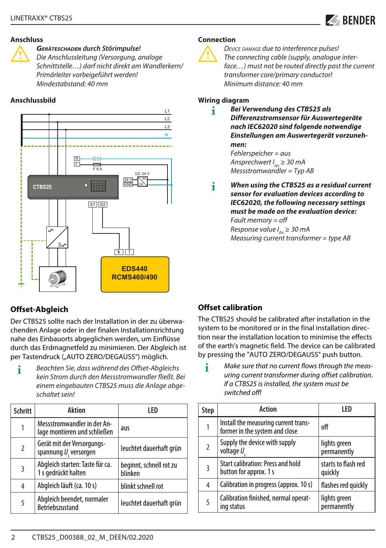

#### **Anschluss**

I *Geräteschaden durch Störimpulse! Die Anschlussleitung (Versorgung, analoge Schnittstelle…) darf nicht direkt am Wandlerkern/ Primärleiter vorbeigeführt werden! Mindestabstand: 40 mm*

#### **Anschlussbild**



## **Offset-Abgleich**

Der CTBS25 sollte nach der Installation in der zu überwachenden Anlage oder in der finalen Installationsrichtung nahe des Einbauorts abgeglichen werden, um Einflüsse durch das Erdmagnetfeld zu minimieren. Der Abgleich ist per Tastendruck ("AUTO ZERO/DEGAUSS") möglich.

**i** *Beachten Sie, dass während des Offset-Abgleichs kein Strom durch den Messstromwandler fließt. Bei einem eingebauten CTBS25 muss die Anlage abgeschaltet sein!*

| <b>Schritt</b> | Aktion                                                       | LED                                |
|----------------|--------------------------------------------------------------|------------------------------------|
|                | Messstromwandler in der An-<br>lage montieren und schließen  | aus                                |
| $\overline{2}$ | Gerät mit der Versorgungs-<br>spannung $U_{\rm g}$ versorgen | leuchtet dauerhaft grün            |
| 3              | Abgleich starten: Taste für ca.<br>1 s gedrückt halten       | beginnt, schnell rot zu<br>blinken |
| 4              | Abgleich läuft (ca. 10 s)                                    | blinkt schnell rot                 |
| 5              | Abgleich beendet, normaler<br>Betriebszustand                | leuchtet dauerhaft grün            |

#### **Connection**



**The connecting cable (supply, analogue inter-**<br> **The connecting cable (supply, analogue inter-**<br> *Face* **.** ) must not be routed directly nost the cu *face…) must not be routed directly past the current transformer core/primary conductor! Minimum distance: 40 mm*

#### **Wiring diagram**

- **i** *Bei Verwendung des CTBS25 als Differenzstromsensor für Auswertegeräte nach IEC62020 sind folgende notwendige Einstellungen am Auswertegerät vorzunehmen: Fehlerspeicher = aus Ansprechwert I<sub>n</sub> ≥ 30 mA Messstromwandler = Typ AB*
- **i** *When using the CTBS25 as a residual current sensor for evaluation devices according to IEC62020, the following necessary settings must be made on the evaluation device:*

*Fault memory = off Response value I<sub>An</sub>* ≥ 30 mA *Measuring current transformer = type AB*

## **Offset calibration**

The CTBS25 should be calibrated after installation in the system to be monitored or in the final installation direction near the installation location to minimise the effects of the earth's magnetic field. The device can be calibrated by pressing the "AUTO ZERO/DEGAUSS" push button.

**i** *Make sure that no current flows through the measuring current transformer during offset calibration. If a CTBS25 is installed, the system must be switched off!*

| <b>Step</b> | Action                                                                 | LED                            |
|-------------|------------------------------------------------------------------------|--------------------------------|
|             | Install the measuring current trans-<br>former in the system and close | off                            |
|             | Supply the device with supply<br>voltage U                             | lights green<br>permanently    |
| 3           | <b>Start calibration: Press and hold</b><br>button for approx. 1 s     | starts to flash red<br>quickly |
| 4           | Calibration in progress (approx. 10 s)                                 | flashes red quickly            |
| 5           | Calibration finished, normal operat-<br>ing status                     | lights green<br>permanently    |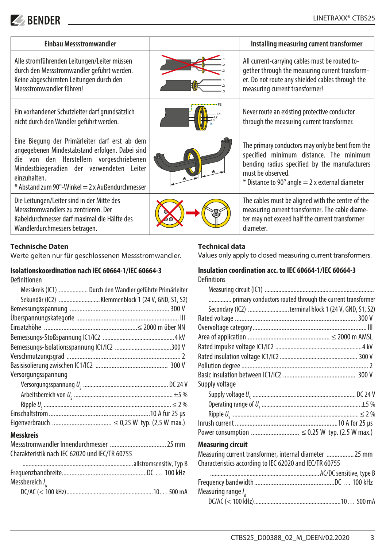## $\blacktriangleright$  BENDER

| Einbau Messstromwandler                                                                                                                                                                                                                                         | Installing measuring current transformer                                                                                                                                                                                         |
|-----------------------------------------------------------------------------------------------------------------------------------------------------------------------------------------------------------------------------------------------------------------|----------------------------------------------------------------------------------------------------------------------------------------------------------------------------------------------------------------------------------|
| Alle stromführenden Leitungen/Leiter müssen<br>durch den Messstromwandler geführt werden.<br>Keine abgeschirmten Leitungen durch den<br>Messstromwandler führen!                                                                                                | All current-carrying cables must be routed to-<br>gether through the measuring current transform-<br>er. Do not route any shielded cables through the<br>measuring current transformer!                                          |
| Ein vorhandener Schutzleiter darf grundsätzlich<br>nicht durch den Wandler geführt werden.                                                                                                                                                                      | Never route an existing protective conductor<br>through the measuring current transformer.                                                                                                                                       |
| Eine Biegung der Primärleiter darf erst ab dem<br>angegebenen Mindestabstand erfolgen. Dabei sind<br>die von den Herstellern vorgeschriebenen<br>Mindestbiegeradien der verwendeten Leiter<br>einzuhalten.<br>$*$ Abstand zum 90°-Winkel = 2 x Außendurchmesser | The primary conductors may only be bent from the<br>specified minimum distance. The minimum<br>bending radius specified by the manufacturers<br>must be observed.<br>$*$ Distance to 90 $^{\circ}$ angle = 2 x external diameter |
| Die Leitungen/Leiter sind in der Mitte des<br>Messstromwandlers zu zentrieren. Der<br>Kabeldurchmesser darf maximal die Hälfte des<br>Wandlerdurchmessers betragen.                                                                                             | The cables must be aligned with the centre of the<br>measuring current transformer. The cable diame-<br>ter may not exceed half the current transformer<br>diameter.                                                             |

#### **Technische Daten**

Werte gelten nur für geschlossenen Messstromwandler.

## **Isolationskoordination nach IEC 60664-1/IEC 60664-3**

Definitionen

| Messkreis (IC1)  Durch den Wandler geführte Primärleiter |
|----------------------------------------------------------|
| Sekundär (IC2) Klemmenblock 1 (24 V, GND, S1, S2)        |
|                                                          |
|                                                          |
|                                                          |
|                                                          |
|                                                          |
|                                                          |
|                                                          |
| Versorgungsspannung                                      |
|                                                          |
|                                                          |
|                                                          |
|                                                          |
|                                                          |
| <b>Messkreis</b>                                         |
|                                                          |
| Charakteristik nach IEC 62020 und IEC/TR 60755           |
|                                                          |
|                                                          |
| Messbereich $I_{\Lambda}$                                |
|                                                          |

#### **Technical data**

Values only apply to closed measuring current transformers.

## **Insulation coordination acc. to IEC 60664-1/IEC 60664-3**

**Definitions** 

| primary conductors routed through the current transformer |
|-----------------------------------------------------------|
| Secondary (IC2) terminal block 1 (24 V, GND, S1, S2)      |
|                                                           |
|                                                           |
|                                                           |
|                                                           |
|                                                           |
|                                                           |
|                                                           |
| Supply voltage                                            |
|                                                           |
|                                                           |
|                                                           |
|                                                           |
| Power consumption  ≤ 0.25 W typ. (2.5 W max.)             |
| <b>Measuring circuit</b>                                  |
| Measuring current transformer, internal diameter  25 mm   |
| Characteristics according to IEC 62020 and IEC/TR 60755   |
|                                                           |
|                                                           |
| Measuring range $I_{\Lambda}$                             |
|                                                           |